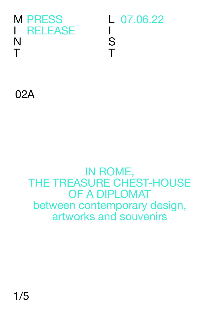

L 07.06.22 I S T

02A

## IN ROME, THE TREASURE CHEST-HOUSE OF A DIPLOMAT between contemporary design, artworks and souvenirs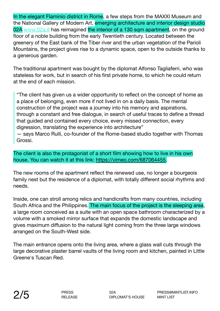In the elegant Flaminio district in Rome, a few steps from the MAXXI Museum and the National Gallery of Modern Art, emerging architecture and interior design studio 02A [www.02a.it](http://www.02a.it) has reimagined the interior of a 130 sqm apartment, on the ground floor of a noble building from the early Twentieth century. Located between the greenery of the East bank of the Tiber river and the urban vegetation of the Parioli Mountains, the project gives rise to a dynamic space, open to the outside thanks to a generous garden.

The traditional apartment was bought by the diplomat Alfonso Tagliaferri, who was stateless for work, but in search of his first private home, to which he could return at the end of each mission.

"The client has given us a wider opportunity to reflect on the concept of home as a place of belonging, even more if not lived in on a daily basis. The mental construction of the project was a journey into his memory and aspirations, through a constant and free dialogue, in search of useful traces to define a thread that guided and contained every choice, every missed connection, every digression, translating the experience into architecture"

— says Marco Rulli, co-founder of the Rome-based studio together with Thomas Grossi.

The client is also the protagonist of a short film showing how to live in his own house. You can watch it at this link: [https://vimeo.com/687064455.](https://vimeo.com/687064455)

The new rooms of the apartment reflect the renewed use, no longer a bourgeois family nest but the residence of a diplomat, with totally different social rhythms and needs.

Inside, one can stroll among relics and handicrafts from many countries, including South Africa and the Philippines. The main focus of the project is the sleeping area, a large room conceived as a suite with an open space bathroom characterized by a volume with a smoked mirror surface that expands the domestic landscape and gives maximum diffusion to the natural light coming from the three large windows arranged on the South-West side.

The main entrance opens onto the living area, where a glass wall cuts through the large decorative plaster barrel vaults of the living room and kitchen, painted in Little Greene's Tuscan Red.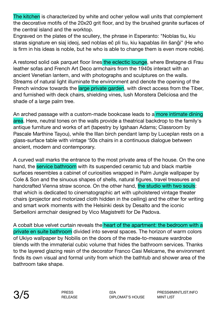The kitchen is characterized by white and ocher yellow wall units that complement the decorative motifs of the 20x20 grit floor, and by the brushed granite surfaces of the central island and the worktop.

Engraved on the plates of the scullery, the phrase in Esperanto: "Noblas tiu, kiu staras signature en siaj ideoj, sed noblas eĉ pli tiu, kiu kapablas ilin ŝanĝi" (He who is firm in his ideas is noble, but he who is able to change them is even more noble).

A restored solid oak parquet floor lines the eclectic lounge, where Bretagne di Frau leather sofas and French Art Deco armchairs from the 1940s interact with an ancient Venetian lantern, and with photographs and sculptures on the walls. Streams of natural light illuminate the environment and denote the opening of the French window towards the large private garden, with direct access from the Tiber, and furnished with deck chairs, shielding vines, lush Monstera Deliciosa and the shade of a large palm tree.

An arched passage with a custom-made bookcase leads to a more intimate dining area. Here, neutral tones on the walls provide a theatrical backdrop to the family's antique furniture and works of art (tapestry by Igshaan Adams; Classroom by Pascale Marthine Tayou), while the Illan birch pendant lamp by Luceplan rests on a glass-surface table with vintage '50s chairs in a continuous dialogue between ancient, modern and contemporary.

A curved wall marks the entrance to the most private area of the house. On the one hand, the service bathroom with its suspended ceramic tub and black marble surfaces resembles a cabinet of curiosities wrapped in Palm Jungle wallpaper by Cole & Son and the sinuous shapes of shells, natural figures, travel treasures and handcrafted Vienna straw sconce. On the other hand, the studio with two souls: that which is dedicated to cinematographic art with upholstered vintage theater chairs (projector and motorized cloth hidden in the ceiling) and the other for writing and smart work moments with the Helsinki desk by Desalto and the iconic Serbelloni armchair designed by Vico Magistretti for De Padova.

A cobalt blue velvet curtain reveals the heart of the apartment: the bedroom with a private en suite bathroom divided into several spaces. The horizon of warm colors of Ukiyo wallpaper by Nobilis on the doors of the made-to-measure wardrobe blends with the immaterial cubic volume that hides the bathroom services. Thanks to the layered glazing resin of the decorator Franco Casi Melcarne, the environment finds its own visual and formal unity from which the bathtub and shower area of the bathroom take shape.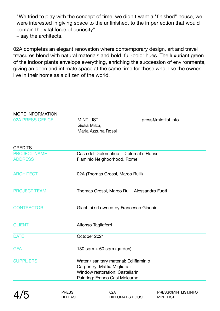"We tried to play with the concept of time, we didn't want a "finished" house, we were interested in giving space to the unfinished, to the imperfection that would contain the vital force of curiosity"

– say the architects.

02A completes an elegant renovation where contemporary design, art and travel treasures blend with natural materials and bold, full-color hues. The luxuriant green of the indoor plants envelops everything, enriching the succession of environments, giving an open and intimate space at the same time for those who, like the owner, live in their home as a citizen of the world.

| <b>MORE INFORMATION</b>               |                                                                                                                                                     |                     |
|---------------------------------------|-----------------------------------------------------------------------------------------------------------------------------------------------------|---------------------|
| <b>02A PRESS OFFICE</b>               | <b>MINT LIST</b><br>Giulia Milza,<br>Maria Azzurra Rossi                                                                                            | press@mintlist.info |
| <b>CREDITS</b>                        |                                                                                                                                                     |                     |
| <b>PROJECT NAME</b><br><b>ADDRESS</b> | Casa del Diplomatico - Diplomat's House<br>Flaminio Neighborhood, Rome                                                                              |                     |
| <b>ARCHITECT</b>                      | 02A (Thomas Grossi, Marco Rulli)                                                                                                                    |                     |
| <b>PROJECT TEAM</b>                   | Thomas Grossi, Marco Rulli, Alessandro Fuoti                                                                                                        |                     |
| <b>CONTRACTOR</b>                     | Giachini srl owned by Francesco Giachini                                                                                                            |                     |
| <b>CLIENT</b>                         | Alfonso Tagliaferri                                                                                                                                 |                     |
| <b>DATE</b>                           | October 2021                                                                                                                                        |                     |
| <b>GFA</b>                            | 130 sqm + 60 sqm (garden)                                                                                                                           |                     |
| <b>SUPPLIERS</b>                      | Water / sanitary material: Edilflaminio<br>Carpentry: Mattia Migliorati<br><b>Window restoration: Castellarin</b><br>Painting: Franco Casi Melcarne |                     |
|                                       |                                                                                                                                                     |                     |